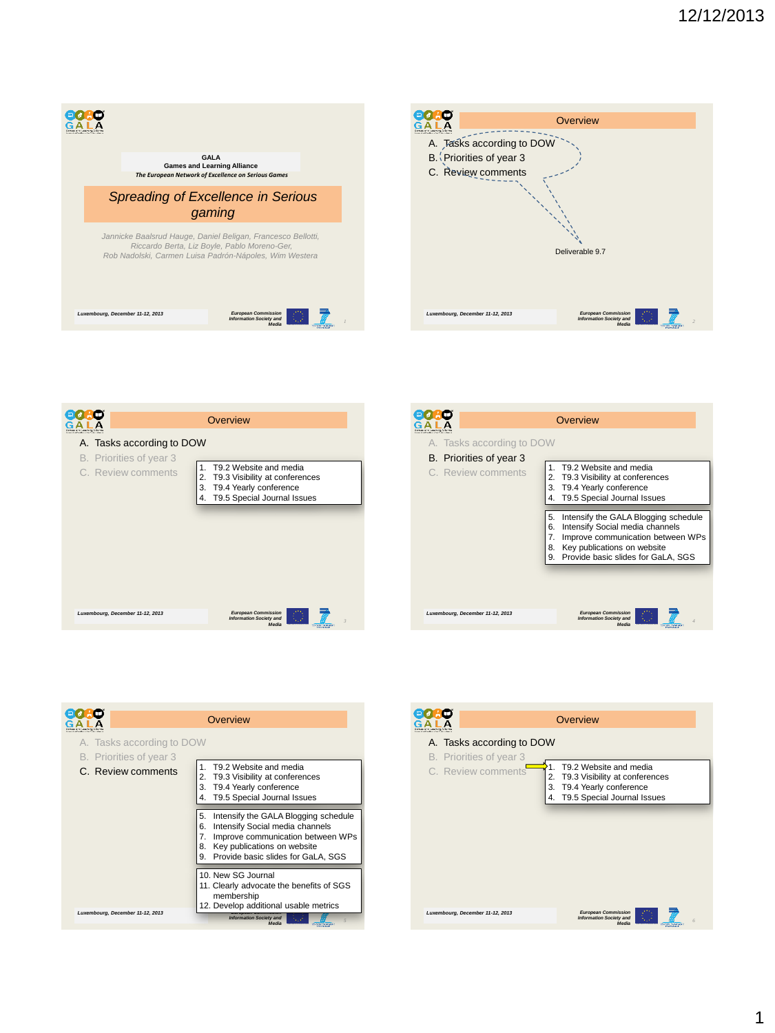







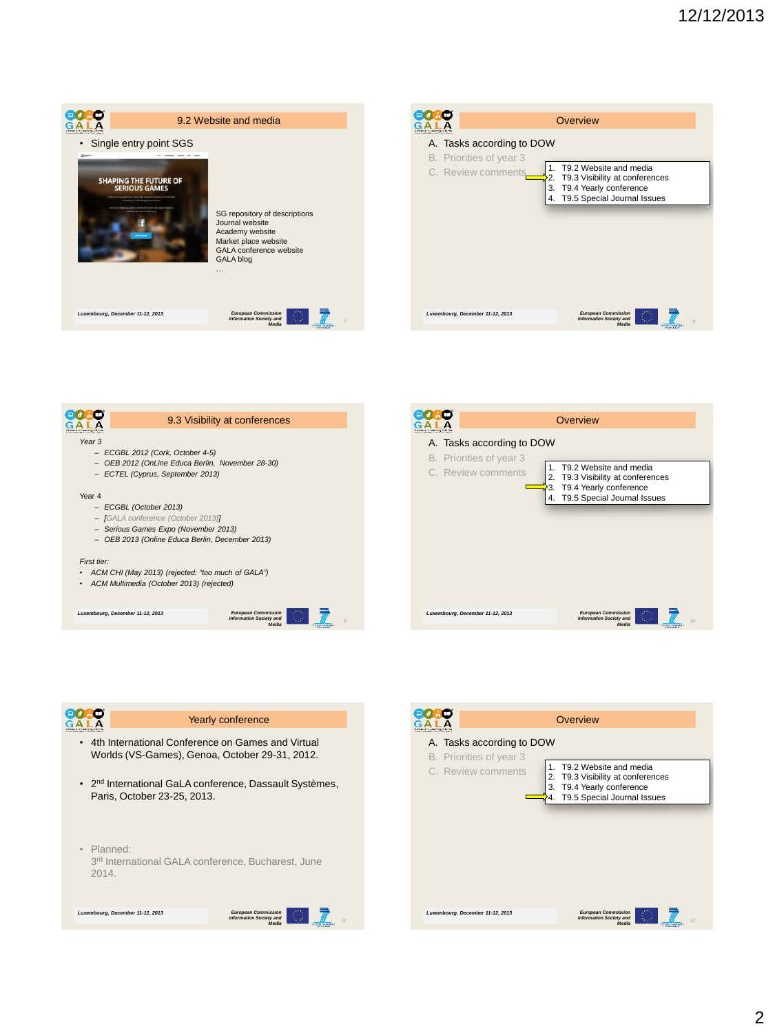









T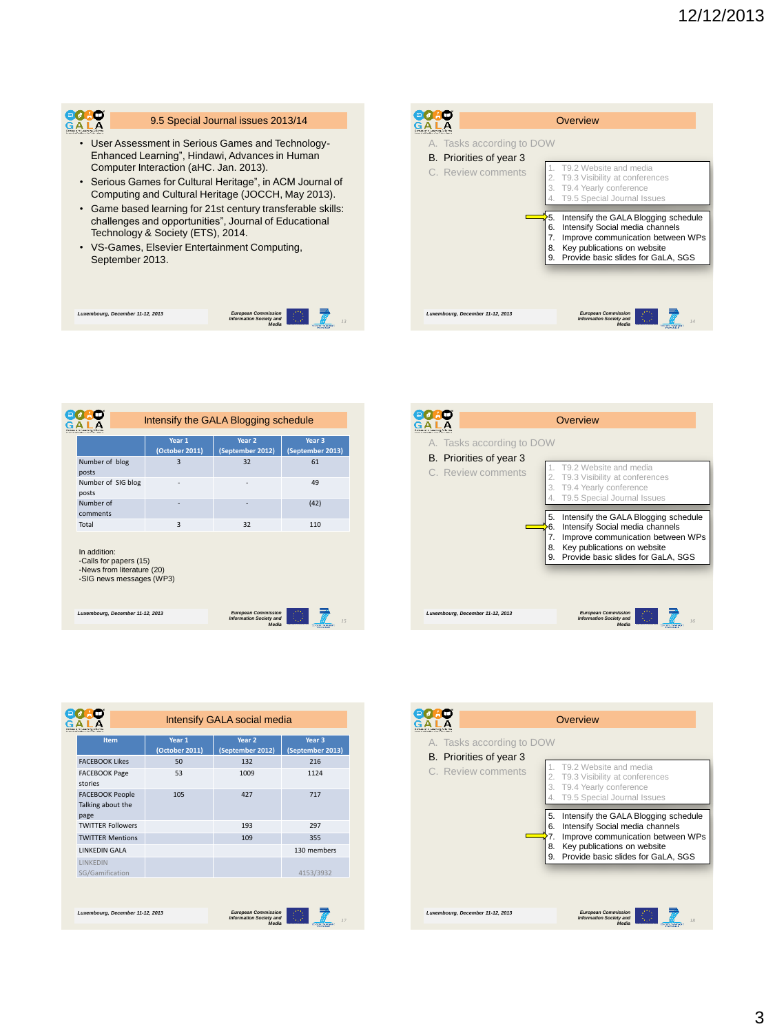

## 9.5 Special Journal issues 2013/14

- User Assessment in Serious Games and Technology-Enhanced Learning", Hindawi, Advances in Human Computer Interaction (aHC. Jan. 2013).
- Serious Games for Cultural Heritage", in ACM Journal of Computing and Cultural Heritage (JOCCH, May 2013).
- Game based learning for 21st century transferable skills: challenges and opportunities", Journal of Educational Technology & Society (ETS), 2014.
- VS-Games, Elsevier Entertainment Computing, September 2013.

**Luxemb** *1 st Review Meeting*

**European Commission and** *European Commission* **<b>Commission Commission Commission Commission Commission Commission Commission Commission Commission Commission Commission Commission Commission Commi** 

|                                                                            | Overview                                                                                                                                                                                                         |
|----------------------------------------------------------------------------|------------------------------------------------------------------------------------------------------------------------------------------------------------------------------------------------------------------|
| A. Tasks according to DOW<br>B. Priorities of year 3<br>C. Review comments | T9.2 Website and media<br>T9.3 Visibility at conferences<br>T9.4 Yearly conference<br>T9.5 Special Journal Issues                                                                                                |
|                                                                            | ٠5.<br>Intensify the GALA Blogging schedule<br>Intensify Social media channels<br>6.<br>Improve communication between WPs<br>7.<br>Key publications on website<br>8.<br>Provide basic slides for GaLA, SGS<br>9. |
| Luxembourg, December 11-12, 2013                                           | <b>European Commission</b><br><b>Information Society and</b><br>14<br>Media                                                                                                                                      |

|                                                                                                  | Intensify the GALA Blogging schedule |                                                              |                        |  |
|--------------------------------------------------------------------------------------------------|--------------------------------------|--------------------------------------------------------------|------------------------|--|
|                                                                                                  | Year 1                               |                                                              | Year 3                 |  |
|                                                                                                  | (October 2011)                       | Year 2<br>(September 2012)                                   | (September 2013)       |  |
| Number of blog<br>posts                                                                          | 3                                    | 32                                                           | 61                     |  |
| Number of SIG blog<br>posts                                                                      |                                      | ۰                                                            | 49                     |  |
| Number of<br>comments                                                                            |                                      |                                                              | (42)                   |  |
| Total                                                                                            | 3                                    | 32                                                           | 110                    |  |
| In addition:<br>-Calls for papers (15)<br>-News from literature (20)<br>-SIG news messages (WP3) |                                      |                                                              |                        |  |
| Luxembourg, December 11-12, 2013                                                                 |                                      | <b>European Commission</b><br><b>Information Society and</b> | 15                     |  |
|                                                                                                  |                                      | Media                                                        | <b>STATER THAT AGE</b> |  |



|                                  | Intensify GALA social media |                                                              |                   |
|----------------------------------|-----------------------------|--------------------------------------------------------------|-------------------|
|                                  |                             |                                                              |                   |
| Item                             | Year 1                      | Year <sub>2</sub>                                            | Year <sub>3</sub> |
|                                  | (October 2011)              | (September 2012)                                             | (September 2013)  |
| <b>FACEBOOK Likes</b>            | 50                          | 132                                                          | 216               |
| <b>FACEBOOK Page</b>             | 53                          | 1009                                                         | 1124              |
| stories                          |                             |                                                              |                   |
| <b>FACEBOOK People</b>           | 105                         | 427                                                          | 717               |
| Talking about the                |                             |                                                              |                   |
| page                             |                             |                                                              |                   |
| <b>TWITTER Followers</b>         |                             | 193                                                          | 297               |
| <b>TWITTER Mentions</b>          |                             | 109                                                          | 355               |
| <b>LINKFDIN GALA</b>             |                             |                                                              | 130 members       |
| <b>LINKFDIN</b>                  |                             |                                                              |                   |
| SG/Gamification                  |                             |                                                              | 4153/3932         |
|                                  |                             |                                                              |                   |
|                                  |                             |                                                              |                   |
|                                  |                             |                                                              |                   |
| Luxembourg, December 11-12, 2013 |                             | <b>European Commission</b><br><b>Information Society and</b> | 17                |
|                                  |                             | Media                                                        | <b>CONTRACTOR</b> |

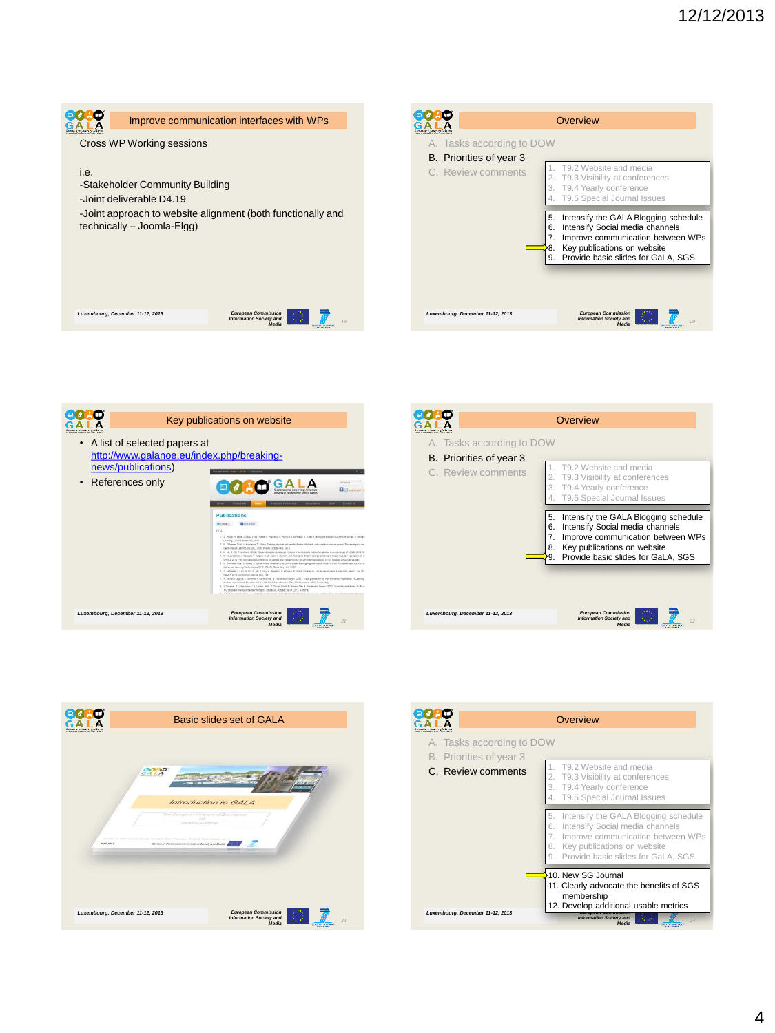

|                                                                            | Overview                                                                                                                                                                                                        |
|----------------------------------------------------------------------------|-----------------------------------------------------------------------------------------------------------------------------------------------------------------------------------------------------------------|
| A. Tasks according to DOW<br>B. Priorities of year 3<br>C. Review comments | T9.2 Website and media<br>T9.3 Visibility at conferences<br>2.<br>T9.4 Yearly conference<br>T9.5 Special Journal Issues                                                                                         |
|                                                                            | Intensify the GALA Blogging schedule<br>5.<br>Intensify Social media channels<br>6.<br>Improve communication between WPs<br>7.<br>Key publications on website<br>8.<br>Provide basic slides for GaLA, SGS<br>9. |
| Luxembourg, December 11-12, 2013                                           | <b>European Commission</b><br><b>Information Society and</b><br>20<br>Media                                                                                                                                     |